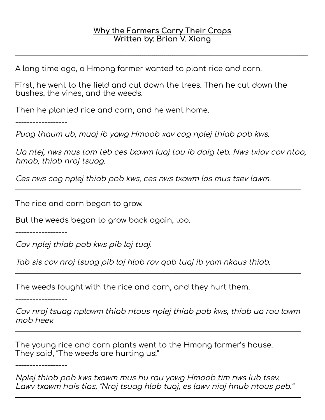\_\_\_\_\_\_\_\_\_\_\_\_\_\_\_\_\_\_\_\_\_\_\_\_\_\_\_\_\_\_\_\_\_\_\_\_\_\_\_\_\_\_\_\_\_\_\_\_\_\_\_\_\_\_\_\_\_\_\_\_\_\_\_\_\_\_\_\_\_\_\_\_\_\_\_\_\_\_\_\_\_\_\_\_\_\_\_\_\_\_\_\_\_\_\_\_\_\_\_\_\_\_\_\_\_\_\_\_\_\_\_\_\_\_\_\_\_\_\_\_\_\_\_\_\_\_\_\_\_\_\_\_\_\_\_\_\_\_\_\_\_\_\_\_\_\_\_

A long time ago, a Hmong farmer wanted to plant rice and corn.

First, he went to the field and cut down the trees. Then he cut down the bushes, the vines, and the weeds.

Then he planted rice and corn, and he went home.

------------------

Puag thaum ub, muaj ib yawg Hmoob xav cog nplej thiab pob kws.

Ua ntej, nws mus tom teb ces txawm luaj tau ib daig teb. Nws txiav cov ntoo, hmab, thiab nroj tsuag.

\_\_\_\_\_\_\_\_\_\_\_\_\_\_\_\_\_\_\_\_\_\_\_\_\_\_\_\_\_\_\_\_\_\_\_\_\_\_\_\_\_\_\_\_\_\_\_\_\_\_\_\_\_\_\_\_\_\_\_\_\_\_\_\_\_\_\_\_\_\_\_\_\_\_\_\_\_\_\_\_\_\_

Ces nws cog nplej thiab pob kws, ces nws txawm los mus tsev lawm.

The rice and corn began to grow.

But the weeds began to grow back again, too.

------------------

Cov nplej thiab pob kws pib loj tuaj.

Tab sis cov nroj tsuag pib loj hlob rov qab tuaj ib yam nkaus thiab.

The weeds fought with the rice and corn, and they hurt them.

------------------

Cov nroj tsuag nplawm thiab ntaus nplej thiab pob kws, thiab ua rau lawm mob heev.

\_\_\_\_\_\_\_\_\_\_\_\_\_\_\_\_\_\_\_\_\_\_\_\_\_\_\_\_\_\_\_\_\_\_\_\_\_\_\_\_\_\_\_\_\_\_\_\_\_\_\_\_\_\_\_\_\_\_\_\_\_\_\_\_\_\_\_\_\_\_\_\_\_\_\_\_\_\_\_\_\_\_

\_\_\_\_\_\_\_\_\_\_\_\_\_\_\_\_\_\_\_\_\_\_\_\_\_\_\_\_\_\_\_\_\_\_\_\_\_\_\_\_\_\_\_\_\_\_\_\_\_\_\_\_\_\_\_\_\_\_\_\_\_\_\_\_\_\_\_\_\_\_\_\_\_\_\_\_\_\_\_\_\_\_

The young rice and corn plants went to the Hmong farmer's house. They said, "The weeds are hurting us!"

------------------

Nplej thiab pob kws txawm mus hu rau yawg Hmoob tim nws lub tsev. Lawv txawm hais tias, "Nroj tsuag hlob tuaj, es lawv niaj hnub ntaus peb." \_\_\_\_\_\_\_\_\_\_\_\_\_\_\_\_\_\_\_\_\_\_\_\_\_\_\_\_\_\_\_\_\_\_\_\_\_\_\_\_\_\_\_\_\_\_\_\_\_\_\_\_\_\_\_\_\_\_\_\_\_\_\_\_\_\_\_\_\_\_\_\_\_\_\_\_\_\_\_\_\_\_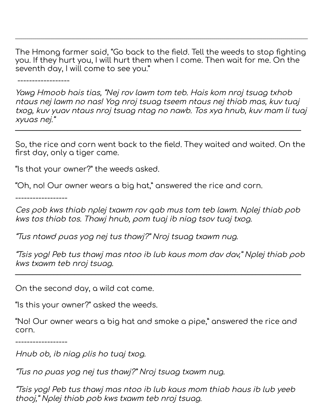The Hmong farmer said, "Go back to the field. Tell the weeds to stop fighting you. If they hurt you, I will hurt them when I come. Then wait for me. On the seventh day, I will come to see you."

\_\_\_\_\_\_\_\_\_\_\_\_\_\_\_\_\_\_\_\_\_\_\_\_\_\_\_\_\_\_\_\_\_\_\_\_\_\_\_\_\_\_\_\_\_\_\_\_\_\_\_\_\_\_\_\_\_\_\_\_\_\_\_\_\_\_\_\_\_\_\_\_\_\_\_\_\_\_\_\_\_\_\_\_\_\_\_\_\_\_\_\_\_\_\_\_\_\_\_\_\_\_\_\_\_\_\_\_\_\_\_\_\_\_\_\_\_\_\_\_\_\_\_\_\_\_\_\_\_\_\_\_\_\_\_\_\_\_\_\_\_\_\_\_\_\_\_

------------------

Yawg Hmoob hais tias, "Nej rov lawm tom teb. Hais kom nroj tsuag txhob ntaus nej lawm no nas! Yog nroj tsuag tseem ntaus nej thiab mas, kuv tuaj txog, kuv yuav ntaus nroj tsuag ntag no nawb. Tos xya hnub, kuv mam li tuaj xyuas nej."

So, the rice and corn went back to the field. They waited and waited. On the first day, only a tiger came.

\_\_\_\_\_\_\_\_\_\_\_\_\_\_\_\_\_\_\_\_\_\_\_\_\_\_\_\_\_\_\_\_\_\_\_\_\_\_\_\_\_\_\_\_\_\_\_\_\_\_\_\_\_\_\_\_\_\_\_\_\_\_\_\_\_\_\_\_\_\_\_\_\_\_\_\_\_\_\_\_\_\_

"Is that your owner?" the weeds asked.

"Oh, no! Our owner wears a big hat," answered the rice and corn.

------------------

Ces pob kws thiab nplej txawm rov qab mus tom teb lawm. Nplej thiab pob kws tos thiab tos. Thawj hnub, pom tuaj ib niag tsov tuaj txog.

"Tus ntawd puas yog nej tus thawj?" Nroj tsuag txawm nug.

"Tsis yog! Peb tus thawj mas ntoo ib lub kaus mom dav dav," Nplej thiab pob kws txawm teb nroj tsuag.

\_\_\_\_\_\_\_\_\_\_\_\_\_\_\_\_\_\_\_\_\_\_\_\_\_\_\_\_\_\_\_\_\_\_\_\_\_\_\_\_\_\_\_\_\_\_\_\_\_\_\_\_\_\_\_\_\_\_\_\_\_\_\_\_\_\_\_\_\_\_\_\_\_\_\_\_\_\_\_\_\_\_

On the second day, a wild cat came.

"Is this your owner?" asked the weeds.

"No! Our owner wears a big hat and smoke a pipe," answered the rice and corn.

------------------

Hnub ob, ib niag plis ho tuaj txog.

"Tus no puas yog nej tus thawj?" Nroj tsuag txawm nug.

"Tsis yog! Peb tus thawj mas ntoo ib lub kaus mom thiab haus ib lub yeeb thooj," Nplej thiab pob kws txawm teb nroj tsuag.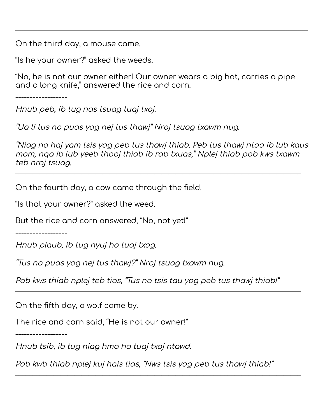On the third day, a mouse came.

"Is he your owner?" asked the weeds.

"No, he is not our owner either! Our owner wears a big hat, carries a pipe and a long knife," answered the rice and corn.

\_\_\_\_\_\_\_\_\_\_\_\_\_\_\_\_\_\_\_\_\_\_\_\_\_\_\_\_\_\_\_\_\_\_\_\_\_\_\_\_\_\_\_\_\_\_\_\_\_\_\_\_\_\_\_\_\_\_\_\_\_\_\_\_\_\_\_\_\_\_\_\_\_\_\_\_\_\_\_\_\_\_\_\_\_\_\_\_\_\_\_\_\_\_\_\_\_\_\_\_\_\_\_\_\_\_\_\_\_\_\_\_\_\_\_\_\_\_\_\_\_\_\_\_\_\_\_\_\_\_\_\_\_\_\_\_\_\_\_\_\_\_\_\_\_\_\_

------------------

Hnub peb, ib tug nas tsuag tuaj txoj.

"Ua li tus no puas yog nej tus thawj" Nroj tsuag txawm nug.

"Niag no haj yam tsis yog peb tus thawj thiab. Peb tus thawj ntoo ib lub kaus mom, nqa ib lub yeeb thooj thiab ib rab txuas," Nplej thiab pob kws txawm teb nroj tsuag. \_\_\_\_\_\_\_\_\_\_\_\_\_\_\_\_\_\_\_\_\_\_\_\_\_\_\_\_\_\_\_\_\_\_\_\_\_\_\_\_\_\_\_\_\_\_\_\_\_\_\_\_\_\_\_\_\_\_\_\_\_\_\_\_\_\_\_\_\_\_\_\_\_\_\_\_\_\_\_\_\_\_

On the fourth day, a cow came through the field.

"Is that your owner?" asked the weed.

But the rice and corn answered, "No, not yet!"

------------------

Hnub plaub, ib tug nyuj ho tuaj txog.

"Tus no puas yog nej tus thawj?" Nroj tsuag txawm nug.

Pob kws thiab nplej teb tias, "Tus no tsis tau yog peb tus thawj thiab!"

\_\_\_\_\_\_\_\_\_\_\_\_\_\_\_\_\_\_\_\_\_\_\_\_\_\_\_\_\_\_\_\_\_\_\_\_\_\_\_\_\_\_\_\_\_\_\_\_\_\_\_\_\_\_\_\_\_\_\_\_\_\_\_\_\_\_\_\_\_\_\_\_\_\_\_\_\_\_\_\_\_\_

On the fifth day, a wolf came by.

The rice and corn said, "He is not our owner!"

------------------

Hnub tsib, ib tug niag hma ho tuaj txoj ntawd.

Pob kwb thiab nplej kuj hais tias, "Nws tsis yog peb tus thawj thiab!"

 $\_$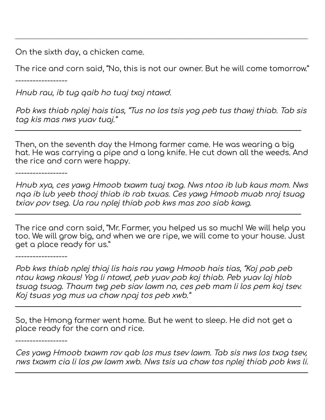On the sixth day, a chicken came.

The rice and corn said, "No, this is not our owner. But he will come tomorrow."

\_\_\_\_\_\_\_\_\_\_\_\_\_\_\_\_\_\_\_\_\_\_\_\_\_\_\_\_\_\_\_\_\_\_\_\_\_\_\_\_\_\_\_\_\_\_\_\_\_\_\_\_\_\_\_\_\_\_\_\_\_\_\_\_\_\_\_\_\_\_\_\_\_\_\_\_\_\_\_\_\_\_\_\_\_\_\_\_\_\_\_\_\_\_\_\_\_\_\_\_\_\_\_\_\_\_\_\_\_\_\_\_\_\_\_\_\_\_\_\_\_\_\_\_\_\_\_\_\_\_\_\_\_\_\_\_\_\_\_\_\_\_\_\_\_\_\_

------------------

Hnub rau, ib tug qaib ho tuaj txoj ntawd.

Pob kws thiab nplej hais tias, "Tus no los tsis yog peb tus thawj thiab. Tab sis tag kis mas nws yuav tuaj."

\_\_\_\_\_\_\_\_\_\_\_\_\_\_\_\_\_\_\_\_\_\_\_\_\_\_\_\_\_\_\_\_\_\_\_\_\_\_\_\_\_\_\_\_\_\_\_\_\_\_\_\_\_\_\_\_\_\_\_\_\_\_\_\_\_\_\_\_\_\_\_\_\_\_\_\_\_\_\_\_\_\_

Then, on the seventh day the Hmong farmer came. He was wearing a big hat. He was carrying a pipe and a long knife. He cut down all the weeds. And the rice and corn were happy.

------------------

Hnub xya, ces yawg Hmoob txawm tuaj txog. Nws ntoo ib lub kaus mom. Nws nqa ib lub yeeb thooj thiab ib rab txuas. Ces yawg Hmoob muab nroj tsuag txiav pov tseg. Ua rau nplej thiab pob kws mas zoo siab kawg.

The rice and corn said, "Mr. Farmer, you helped us so much! We will help you too. We will grow big, and when we are ripe, we will come to your house. Just get a place ready for us."

\_\_\_\_\_\_\_\_\_\_\_\_\_\_\_\_\_\_\_\_\_\_\_\_\_\_\_\_\_\_\_\_\_\_\_\_\_\_\_\_\_\_\_\_\_\_\_\_\_\_\_\_\_\_\_\_\_\_\_\_\_\_\_\_\_\_\_\_\_\_\_\_\_\_\_\_\_\_\_\_\_\_

------------------

Pob kws thiab nplej thiaj lis hais rau yawg Hmoob hais tias, "Koj pab peb ntau kawg nkaus! Yog li ntawd, peb yuav pab koj thiab. Peb yuav loj hlob tsuag tsuag. Thaum twg peb siav lawm no, ces peb mam li los pem koj tsev. Koj tsuas yog mus ua chaw npaj tos peb xwb."

\_\_\_\_\_\_\_\_\_\_\_\_\_\_\_\_\_\_\_\_\_\_\_\_\_\_\_\_\_\_\_\_\_\_\_\_\_\_\_\_\_\_\_\_\_\_\_\_\_\_\_\_\_\_\_\_\_\_\_\_\_\_\_\_\_\_\_\_\_\_\_\_\_\_\_\_\_\_\_\_\_\_

So, the Hmong farmer went home. But he went to sleep. He did not get a place ready for the corn and rice.

------------------

Ces yawg Hmoob txawm rov qab los mus tsev lawm. Tab sis nws los txog tsev, nws txawm cia li los pw lawm xwb. Nws tsis ua chaw tos nplej thiab pob kws li.

\_\_\_\_\_\_\_\_\_\_\_\_\_\_\_\_\_\_\_\_\_\_\_\_\_\_\_\_\_\_\_\_\_\_\_\_\_\_\_\_\_\_\_\_\_\_\_\_\_\_\_\_\_\_\_\_\_\_\_\_\_\_\_\_\_\_\_\_\_\_\_\_\_\_\_\_\_\_\_\_\_\_\_\_